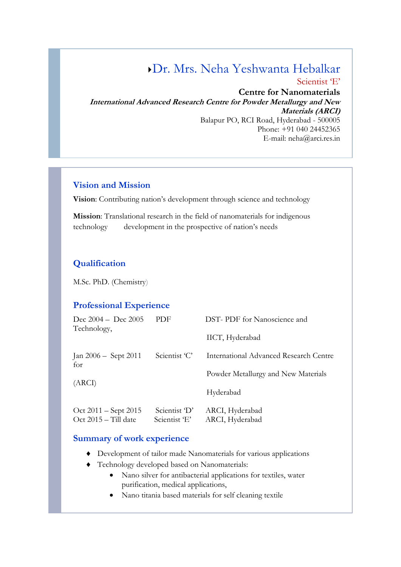# Dr. Mrs. Neha Yeshwanta Hebalkar

Scientist 'E'

**Centre for Nanomaterials International Advanced Research Centre for Powder Metallurgy and New Materials (ARCI)** Balapur PO, RCI Road, Hyderabad - 500005 Phone: +91 040 24452365 E-mail: [neha@arci.res.in](mailto:neha@arci.res.in)

#### **Vision and Mission**

**Vision**: Contributing nation's development through science and technology

**Mission**: Translational research in the field of nanomaterials for indigenous technology development in the prospective of nation's needs

#### **Qualification**

M.Sc. PhD. (Chemistry)

#### **Professional Experience**

| Dec $2004 -$ Dec $2005$<br>Technology,             | PDF                            | DST-PDF for Nanoscience and            |  |
|----------------------------------------------------|--------------------------------|----------------------------------------|--|
|                                                    |                                | IICT, Hyderabad                        |  |
| Scientist 'C'<br>Jan 2006 – Sept 2011<br>for       |                                | International Advanced Research Centre |  |
|                                                    |                                | Powder Metallurgy and New Materials    |  |
| (ARCI)                                             |                                | Hyderabad                              |  |
| $Oct 2011 - Sept 2015$<br>$Oct$ 2015 $-$ Till date | Scientist 'D'<br>Scientist 'E' | ARCI, Hyderabad<br>ARCI, Hyderabad     |  |

#### **Summary of work experience**

- Development of tailor made Nanomaterials for various applications
- Technology developed based on Nanomaterials:
	- Nano silver for antibacterial applications for textiles, water purification, medical applications,
	- Nano titania based materials for self cleaning textile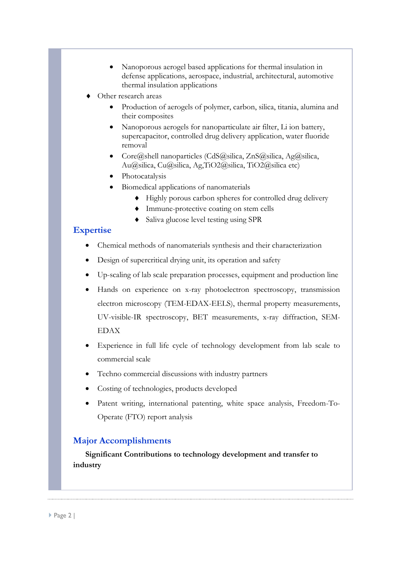- Nanoporous aerogel based applications for thermal insulation in defense applications, aerospace, industrial, architectural, automotive thermal insulation applications
- Other research areas
	- Production of aerogels of polymer, carbon, silica, titania, alumina and their composites
	- Nanoporous aerogels for nanoparticulate air filter, Li ion battery, supercapacitor, controlled drug delivery application, water fluoride removal
	- Core@shell nanoparticles (CdS@silica, ZnS@silica, Ag@silica, Au@silica, Cu@silica, Ag,TiO2@silica, TiO2@silica etc)
	- Photocatalysis
	- Biomedical applications of nanomaterials
		- Highly porous carbon spheres for controlled drug delivery
		- Immune-protective coating on stem cells
		- Saliva glucose level testing using SPR

#### **Expertise**

- Chemical methods of nanomaterials synthesis and their characterization
- Design of supercritical drying unit, its operation and safety
- Up-scaling of lab scale preparation processes, equipment and production line
- Hands on experience on x-ray photoelectron spectroscopy, transmission electron microscopy (TEM-EDAX-EELS), thermal property measurements, UV-visible-IR spectroscopy, BET measurements, x-ray diffraction, SEM-EDAX
- Experience in full life cycle of technology development from lab scale to commercial scale
- Techno commercial discussions with industry partners
- Costing of technologies, products developed
- Patent writing, international patenting, white space analysis, Freedom-To-Operate (FTO) report analysis

#### **Major Accomplishments**

 **Significant Contributions to technology development and transfer to industry**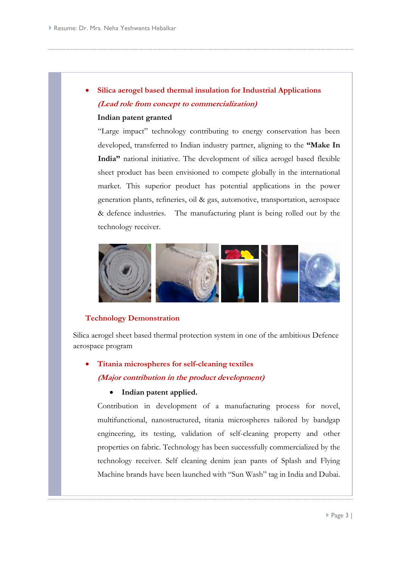# • **Silica aerogel based thermal insulation for Industrial Applications (Lead role from concept to commercialization)**

#### **Indian patent granted**

"Large impact" technology contributing to energy conservation has been developed, transferred to Indian industry partner, aligning to the **"Make In India"** national initiative. The development of silica aerogel based flexible sheet product has been envisioned to compete globally in the international market. This superior product has potential applications in the power generation plants, refineries, oil & gas, automotive, transportation, aerospace & defence industries. The manufacturing plant is being rolled out by the technology receiver.



#### **Technology Demonstration**

Silica aerogel sheet based thermal protection system in one of the ambitious Defence aerospace program

# • **Titania microspheres for self-cleaning textiles (Major contribution in the product development)**

#### • **Indian patent applied.**

Contribution in development of a manufacturing process for novel, multifunctional, nanostructured, titania microspheres tailored by bandgap engineering, its testing, validation of self-cleaning property and other properties on fabric. Technology has been successfully commercialized by the technology receiver. Self cleaning denim jean pants of Splash and Flying Machine brands have been launched with "Sun Wash" tag in India and Dubai.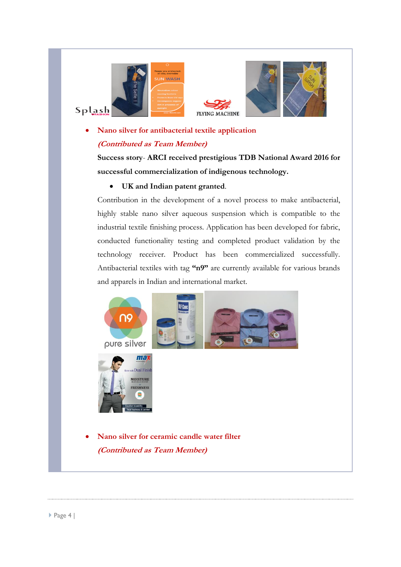





## • **Nano silver for antibacterial textile application (Contributed as Team Member)**

**Success story**- **ARCI received prestigious TDB National Award 2016 for successful commercialization of indigenous technology.** 

#### • **UK and Indian patent granted**.

Contribution in the development of a novel process to make antibacterial, highly stable nano silver aqueous suspension which is compatible to the industrial textile finishing process. Application has been developed for fabric, conducted functionality testing and completed product validation by the technology receiver. Product has been commercialized successfully. Antibacterial textiles with tag **"n9"** are currently available for various brands and apparels in Indian and international market.

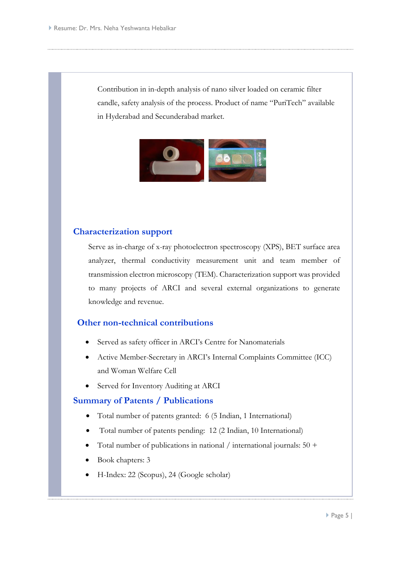Contribution in in-depth analysis of nano silver loaded on ceramic filter candle, safety analysis of the process. Product of name "PuriTech" available in Hyderabad and Secunderabad market.



#### **Characterization support**

Serve as in-charge of x-ray photoelectron spectroscopy (XPS), BET surface area analyzer, thermal conductivity measurement unit and team member of transmission electron microscopy (TEM). Characterization support was provided to many projects of ARCI and several external organizations to generate knowledge and revenue.

#### **Other non-technical contributions**

- Served as safety officer in ARCI's Centre for Nanomaterials
- Active Member-Secretary in ARCI's Internal Complaints Committee (ICC) and Woman Welfare Cell
- Served for Inventory Auditing at ARCI

#### **Summary of Patents / Publications**

- Total number of patents granted: 6 (5 Indian, 1 International)
- Total number of patents pending: 12 (2 Indian, 10 International)
- Total number of publications in national / international journals:  $50 +$
- Book chapters: 3
- H-Index: 22 (Scopus), 24 (Google scholar)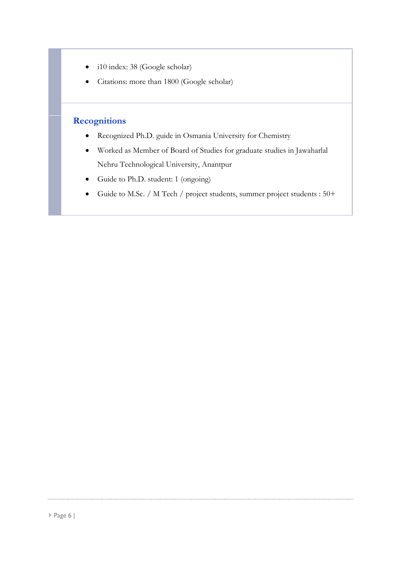- i10 index: 38 (Google scholar)
- Citations: more than 1800 (Google scholar)

## **Recognitions**

- Recognized Ph.D. guide in Osmania University for Chemistry
- Worked as Member of Board of Studies for graduate studies in Jawaharlal Nehru Technological University, Anantpur
- Guide to Ph.D. student: 1 (ongoing)
- Guide to M.Sc. / M Tech / project students, summer project students : 50+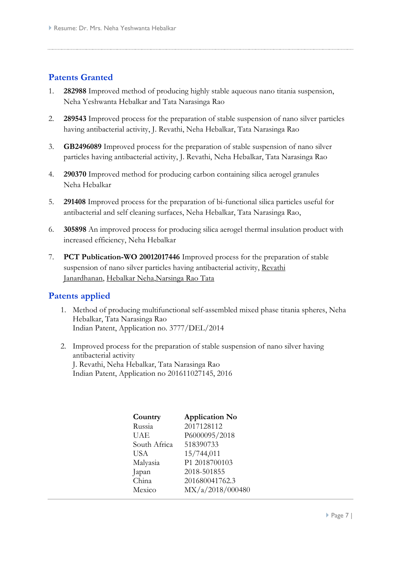## **Patents Granted**

- 1. **282988** Improved method of producing highly stable aqueous nano titania suspension, Neha Yeshwanta Hebalkar and Tata Narasinga Rao
- 2. **289543** Improved process for the preparation of stable suspension of nano silver particles having antibacterial activity, J. Revathi, Neha Hebalkar, Tata Narasinga Rao
- 3. **GB2496089** Improved process for the preparation of stable suspension of nano silver particles having antibacterial activity, J. Revathi, Neha Hebalkar, Tata Narasinga Rao
- 4. **290370** Improved method for producing carbon containing silica aerogel granules Neha Hebalkar
- 5. **291408** Improved process for the preparation of bi-functional silica particles useful for antibacterial and self cleaning surfaces, Neha Hebalkar, Tata Narasinga Rao,
- 6. **305898** An improved process for producing silica aerogel thermal insulation product with increased efficiency, Neha Hebalkar
- 7. **PCT Publication-WO 20012017446** Improved process for the preparation of stable suspension of nano silver particles having antibacterial activit[y, Revathi](http://www.google.com/search?tbo=p&tbm=pts&hl=en&q=ininventor:%22Revathi+Janardhanan%22)  [Janardhanan,](http://www.google.com/search?tbo=p&tbm=pts&hl=en&q=ininventor:%22Revathi+Janardhanan%22) [Hebalkar Neha](http://www.google.com/search?tbo=p&tbm=pts&hl=en&q=ininventor:%22Hebalkar+Neha%22)[,Narsinga Rao Tata](http://www.google.com/search?tbo=p&tbm=pts&hl=en&q=ininventor:%22Narsinga+Rao+Tata%22)

#### **Patents applied**

- 1. Method of producing multifunctional self-assembled mixed phase titania spheres, Neha Hebalkar, Tata Narasinga Rao Indian Patent, Application no. 3777/DEL/2014
- 2. Improved process for the preparation of stable suspension of nano silver having antibacterial activity J. Revathi, Neha Hebalkar, Tata Narasinga Rao Indian Patent, Application no 201611027145, 2016

| Country      | <b>Application No</b> |
|--------------|-----------------------|
| Russia       | 2017128112            |
| UAE          | P6000095/2018         |
| South Africa | 518390733             |
| <b>USA</b>   | 15/744,011            |
| Malyasia     | P1 2018700103         |
| Japan        | 2018-501855           |
| China        | 201680041762.3        |
| Mexico       | MX/a/2018/000480      |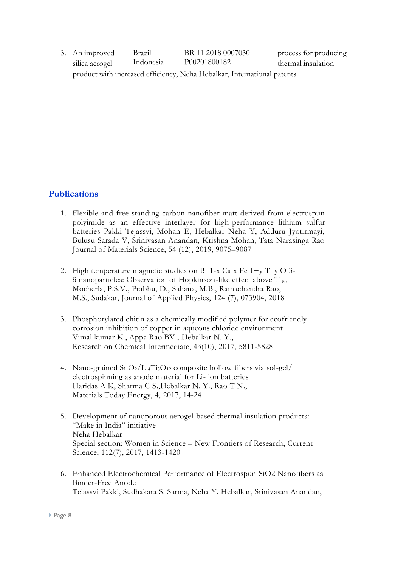| 3. An improved                                                          | Brazil    | BR 11 2018 0007030 | process for producing |  |  |
|-------------------------------------------------------------------------|-----------|--------------------|-----------------------|--|--|
| silica aerogel                                                          | Indonesia | P00201800182       | thermal insulation    |  |  |
| product with increased efficiency, Neha Hebalkar, International patents |           |                    |                       |  |  |

### **Publications**

- 1. Flexible and free-standing carbon nanofiber matt derived from electrospun polyimide as an effective interlayer for high-performance lithium–sulfur batteries Pakki Tejassvi, Mohan E, Hebalkar Neha Y, Adduru Jyotirmayi, Bulusu Sarada V, Srinivasan Anandan, Krishna Mohan, Tata Narasinga Rao Journal of Materials Science, 54 (12), 2019, 9075–9087
- 2. High temperature magnetic studies on Bi 1-x Ca x Fe 1−y Ti y O 3 δ nanoparticles: Observation of Hopkinson-like effect above T  $_N$ , Mocherla, P.S.V., Prabhu, D., Sahana, M.B., Ramachandra Rao, M.S., Sudakar, Journal of Applied Physics, 124 (7), 073904, 2018
- 3. Phosphorylated chitin as a chemically modified polymer for ecofriendly corrosion inhibition of copper in aqueous chloride environment Vimal kumar K., Appa Rao BV , Hebalkar N. Y., Research on Chemical Intermediate, 43(10), 2017, 5811-5828
- 4. Nano-grained  $\text{SnO}_2/\text{Li}_4\text{Ti}_5\text{O}_{12}$  composite hollow fibers via sol-gel/ electrospinning as anode material for Li- ion batteries Haridas A K, Sharma C [S.,](https://www.scopus.com/authid/detail.uri?authorId=55890374500&eid=2-s2.0-85019402697) Hebalkar N. Y., Rao T [N.,](https://www.scopus.com/authid/detail.uri?authorId=27467718600&eid=2-s2.0-85019402697) Materials Today Energy, 4, 2017, 14-24
- 5. Development of nanoporous aerogel-based thermal insulation products: "Make in India" initiative Neha Hebalkar Special section: Women in Science – New Frontiers of Research, Current Science, 112(7), 2017, 1413-1420
- 6. Enhanced Electrochemical Performance of Electrospun SiO2 Nanofibers as Binder-Free Anode Tejassvi Pakki, Sudhakara S. Sarma, Neha Y. Hebalkar, Srinivasan Anandan,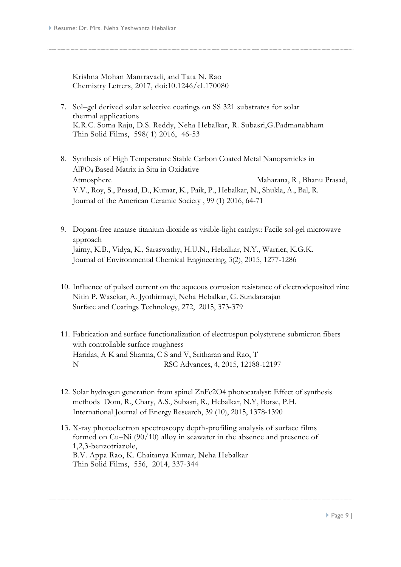Krishna Mohan Mantravadi, and Tata N. Rao Chemistry Letters, 2017, doi:10.1246/cl.170080

- 7. Sol–[gel derived solar selective coatings on SS 321 substrates for solar](http://www.sciencedirect.com/science/article/pii/S0040609015012389)  [thermal applications](http://www.sciencedirect.com/science/article/pii/S0040609015012389)  K.R.C. Soma Raju, D.S. Reddy, Neha Hebalkar, R. Subasri,G.Padmanabham Thin Solid Films, 598( 1) 2016, 46-53
- 8. Synthesis of High Temperature Stable Carbon Coated Metal Nanoparticles in AlPO<sup>4</sup> Based Matrix in Situ in Oxidative Atmosphere [Maharana, R](https://www.scopus.com/authid/detail.uri?authorId=55804094400&eid=2-s2.0-84953439779)[,](mailto:r_subir@yahoo.com) Bhanu Prasad, [V.V.,](https://www.scopus.com/authid/detail.uri?authorId=6602968116&eid=2-s2.0-84953439779) [Roy, S.,](https://www.scopus.com/authid/detail.uri?authorId=36064909500&eid=2-s2.0-84953439779) [Prasad, D.,](https://www.scopus.com/authid/detail.uri?authorId=57040614600&eid=2-s2.0-84953439779) [Kumar, K.,](https://www.scopus.com/authid/detail.uri?authorId=56896287100&eid=2-s2.0-84953439779) [Paik, P.,](https://www.scopus.com/authid/detail.uri?authorId=56153256000&eid=2-s2.0-84953439779) [Hebalkar, N.,](https://www.scopus.com/authid/detail.uri?authorId=8582478800&eid=2-s2.0-84953439779) [Shukla, A.,](https://www.scopus.com/authid/detail.uri?authorId=55755175200&eid=2-s2.0-84953439779) [Bal, R.](https://www.scopus.com/authid/detail.uri?authorId=7004686096&eid=2-s2.0-84953439779)  [Journal of the American Ceramic Society](https://www.scopus.com/source/sourceInfo.uri?sourceId=20982&origin=recordpage) , 99 (1) 2016, 64-71
- 9. Dopant-free anatase titanium dioxide as visible-light catalyst: Facile sol-gel microwave approach [Jaimy, K.B.,](https://www.scopus.com/authid/detail.uri?authorId=36157969700&eid=2-s2.0-84937519522) [Vidya, K.,](https://www.scopus.com/authid/detail.uri?authorId=56291161000&eid=2-s2.0-84937519522) [Saraswathy, H.U.N.,](https://www.scopus.com/authid/detail.uri?authorId=56290640800&eid=2-s2.0-84937519522) [Hebalkar, N.Y.,](https://www.scopus.com/authid/detail.uri?authorId=8582478800&eid=2-s2.0-84937519522) [Warrier, K.G.K.](https://www.scopus.com/authid/detail.uri?authorId=35562995400&eid=2-s2.0-84937519522)  [Journal of Environmental Chemical Engineering,](https://www.scopus.com/source/sourceInfo.uri?sourceId=21100255493&origin=recordpage) 3(2), 2015, 1277-1286
- 10. [Influence of pulsed current on the aqueous corrosion resistance of electrodeposited zinc](http://www.sciencedirect.com/science/article/pii/S0257897215002765) Nitin P. Wasekar, A. Jyothirmayi, Neha Hebalkar, G. Sundararajan Surface and Coatings Technology, 272, 2015, 373-379
- 11. Fabrication and surface functionalization of electrospun polystyrene submicron fibers with controllable surface roughness Haridas, A K and Sharma, C S and V, Sritharan and Rao, T N RSC Advances, 4, 2015, 12188-12197
- 12. Solar hydrogen generation from spinel ZnFe2O4 photocatalyst: Effect of synthesis methods [Dom, R.,](https://www.scopus.com/authid/detail.uri?authorId=36997913900&eid=2-s2.0-84934846551) [Chary, A.S.,](https://www.scopus.com/authid/detail.uri?authorId=55663537400&eid=2-s2.0-84934846551) [Subasri, R.,](https://www.scopus.com/authid/detail.uri?authorId=6604064620&eid=2-s2.0-84934846551) [Hebalkar, N.Y,](https://www.scopus.com/authid/detail.uri?authorId=8582478800&eid=2-s2.0-84934846551) [Borse, P.H.](https://www.scopus.com/authid/detail.uri?authorId=6602932803&eid=2-s2.0-84934846551)  [International Journal of Energy Research,](https://www.scopus.com/source/sourceInfo.uri?sourceId=26676&origin=recordpage) 39 (10), 2015, 1378-1390
- 13. [X-ray photoelectron spectroscopy depth-profiling analysis of surface films](http://www.sciencedirect.com/science/article/pii/S0040609014001898)  formed on Cu–[Ni \(90/10\) alloy in seawater in the absence and presence of](http://www.sciencedirect.com/science/article/pii/S0040609014001898)  [1,2,3-benzotriazole,](http://www.sciencedirect.com/science/article/pii/S0040609014001898) B.V. Appa Rao, K. Chaitanya Kumar, Neha Hebalkar Thin Solid Films, 556, 2014, 337-344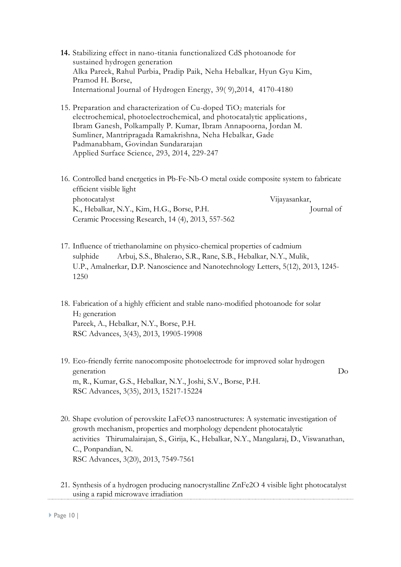- **14.** [Stabilizing effect in nano-titania functionalized CdS photoanode for](http://www.sciencedirect.com/science/article/pii/S0360319913031777)  [sustained hydrogen generation](http://www.sciencedirect.com/science/article/pii/S0360319913031777)  Alka Pareek, Rahul Purbia, Pradip Paik, Neha Hebalkar, Hyun Gyu Kim, Pramod H. Borse, International Journal of Hydrogen Energy, 39( 9),2014, 4170-4180
- 15. Preparation and characterization of  $Cu$ -doped  $TiO<sub>2</sub>$  materials for [electrochemical, photoelectrochemical, and photocatalytic applications,](http://www.sciencedirect.com/science/article/pii/S016943321302429X) Ibram Ganesh, Polkampally P. Kumar, Ibram Annapoorna, Jordan M. Sumliner, Mantripragada Ramakrishna, Neha Hebalkar, Gade Padmanabham, Govindan Sundararajan Applied Surface Science, 293, 2014, 229-247
- 16. Controlled band energetics in Pb-Fe-Nb-O metal oxide composite system to fabricate efficient visible light photocatalyst [Vijayasankar,](https://www.scopus.com/authid/detail.uri?authorId=55972324400&eid=2-s2.0-84890831776)  [K.,](https://www.scopus.com/authid/detail.uri?authorId=55972324400&eid=2-s2.0-84890831776) [Hebalkar, N.Y.,](https://www.scopus.com/authid/detail.uri?authorId=8582478800&eid=2-s2.0-84890831776) [Kim, H.G.,](https://www.scopus.com/authid/detail.uri?authorId=35169972800&eid=2-s2.0-84890831776) [Borse, P.H.](https://www.scopus.com/authid/detail.uri?authorId=6602932803&eid=2-s2.0-84890831776)Journal of Ceramic Processing Research, 14 (4), 2013, 557-562
- 17. Influence of triethanolamine on physico-chemical properties of cadmium sulphide [Arbuj, S.S.,](https://www.scopus.com/authid/detail.uri?authorId=15822047300&eid=2-s2.0-84890718051) [Bhalerao, S.R.,](https://www.scopus.com/authid/detail.uri?authorId=55971054800&eid=2-s2.0-84890718051) [Rane, S.B.,](https://www.scopus.com/authid/detail.uri?authorId=7005884910&eid=2-s2.0-84890718051) [Hebalkar, N.Y.,](https://www.scopus.com/authid/detail.uri?authorId=8582478800&eid=2-s2.0-84890718051) [Mulik,](https://www.scopus.com/authid/detail.uri?authorId=57062593600&eid=2-s2.0-84890718051)  [U.P.,](https://www.scopus.com/authid/detail.uri?authorId=57062593600&eid=2-s2.0-84890718051) [Amalnerkar, D.P.](https://www.scopus.com/authid/detail.uri?authorId=7003777860&eid=2-s2.0-84890718051) [Nanoscience and Nanotechnology Letters,](https://www.scopus.com/source/sourceInfo.uri?sourceId=19700186885&origin=recordpage) 5(12), 2013, 1245- [12](https://www.scopus.com/record/display.uri?eid=2-s2.0-84890718051&origin=resultslist&sort=plf-f&src=s&sid=3E574D785A68AC0C5909996D50DECAAC.mw4ft95QGjz1tIFG9A1uw%3a120&sot=aut&sdt=a&sl=17&s=AU-ID%288582478800%29&relpos=9&citeCnt=3&searchTerm=#corrAuthorFooter)50
- 18. Fabrication of a highly efficient and stable nano-modified photoanode for solar H<sup>2</sup> generation [Pareek, A.,](https://www.scopus.com/authid/detail.uri?authorId=55487120500&eid=2-s2.0-84886923779) [Hebalkar, N.Y.,](https://www.scopus.com/authid/detail.uri?authorId=8582478800&eid=2-s2.0-84886923779) [Borse, P.H.](https://www.scopus.com/authid/detail.uri?authorId=6602932803&eid=2-s2.0-84886923779) [RSC Advances,](https://www.scopus.com/source/sourceInfo.uri?sourceId=21100199840&origin=recordpage) 3(43), 2013, 19905-19908
- 19. Eco-friendly ferrite nanocomposite photoelectrode for improved solar hydrogen generation [Do](https://www.scopus.com/authid/detail.uri?authorId=36997913900&eid=2-s2.0-84881589151) [m, R.,](https://www.scopus.com/authid/detail.uri?authorId=36997913900&eid=2-s2.0-84881589151) [Kumar, G.S.,](https://www.scopus.com/authid/detail.uri?authorId=55430366000&eid=2-s2.0-84881589151) [Hebalkar, N.Y.,](https://www.scopus.com/authid/detail.uri?authorId=8582478800&eid=2-s2.0-84881589151) [Joshi, S.V.,](https://www.scopus.com/authid/detail.uri?authorId=35576805700&eid=2-s2.0-84881589151) [Borse, P.H.](https://www.scopus.com/authid/detail.uri?authorId=6602932803&eid=2-s2.0-84881589151) [RSC Advances,](https://www.scopus.com/source/sourceInfo.uri?sourceId=21100199840&origin=recordpage) 3(35), 2013, 15217-1522[4](mailto:phborse@arci.res.in)
- 20. Shape evolution of perovskite LaFeO3 nanostructures: A systematic investigation of growth mechanism, properties and morphology dependent photocatalytic activities [Thirumalairajan,](https://www.scopus.com/authid/detail.uri?authorId=26322092000&eid=2-s2.0-84877301999) S., [Girija, K.,](https://www.scopus.com/authid/detail.uri?authorId=6505843875&eid=2-s2.0-84877301999) [Hebalkar, N.Y.,](https://www.scopus.com/authid/detail.uri?authorId=8582478800&eid=2-s2.0-84877301999) [Mangalaraj, D.,](https://www.scopus.com/authid/detail.uri?authorId=7006741532&eid=2-s2.0-84877301999) [Viswanathan,](https://www.scopus.com/authid/detail.uri?authorId=22977839100&eid=2-s2.0-84877301999)  [C.,](https://www.scopus.com/authid/detail.uri?authorId=22977839100&eid=2-s2.0-84877301999) [Ponpandian, N.](https://www.scopus.com/authid/detail.uri?authorId=6603412136&eid=2-s2.0-84877301999) [RSC Advances,](https://www.scopus.com/source/sourceInfo.uri?sourceId=21100199840&origin=recordpage) 3(20), 2013, 7549-7561
- 21. Synthesis of a hydrogen producing nanocrystalline ZnFe2O 4 visible light photocatalyst using a rapid microwave irradiation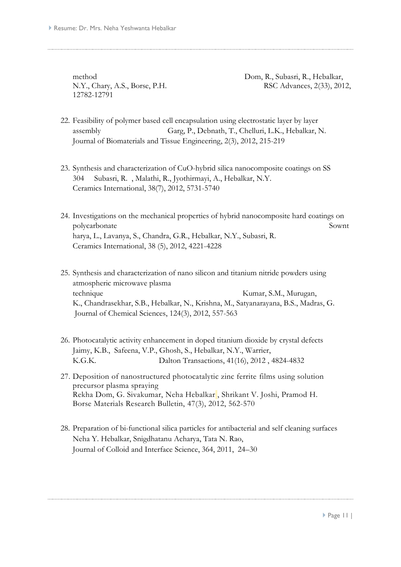12782-12791

method [Dom, R.,](https://www.scopus.com/authid/detail.uri?authorId=36997913900&eid=2-s2.0-84870051442) [Subasri, R.,](https://www.scopus.com/authid/detail.uri?authorId=6604064620&eid=2-s2.0-84870051442) [Hebalkar,](https://www.scopus.com/authid/detail.uri?authorId=8582478800&eid=2-s2.0-84870051442)  [N.Y.,](https://www.scopus.com/authid/detail.uri?authorId=8582478800&eid=2-s2.0-84870051442) [Chary, A.S.,](https://www.scopus.com/authid/detail.uri?authorId=55663537400&eid=2-s2.0-84870051442) [Borse, P.H.](https://www.scopus.com/authid/detail.uri?authorId=6602932803&eid=2-s2.0-84870051442) [RSC Advances,](https://www.scopus.com/source/sourceInfo.uri?sourceId=21100199840&origin=recordpage) 2(33), 2012,

- 22. Feasibility of polymer based cell encapsulation using electrostatic layer by layer assembly [Garg, P.,](https://www.scopus.com/authid/detail.uri?authorId=55986363100&eid=2-s2.0-84891647367) [Debnath, T.,](https://www.scopus.com/authid/detail.uri?authorId=47961052400&eid=2-s2.0-84891647367) [Chelluri, L.K.,](https://www.scopus.com/authid/detail.uri?authorId=23049162100&eid=2-s2.0-84891647367) [Hebalkar, N.](https://www.scopus.com/authid/detail.uri?authorId=8582478800&eid=2-s2.0-84891647367)  [Journal of Biomaterials and Tissue Engineering,](https://www.scopus.com/source/sourceInfo.uri?sourceId=21100278103&origin=recordpage) 2(3), 2012, 215-219
- 23. Synthesis and characterization of CuO-hybrid silica nanocomposite coatings on SS 304 [Subasri, R.](https://www.scopus.com/authid/detail.uri?authorId=6604064620&eid=2-s2.0-84862701303) [,](mailto:subasri@arci.res.in) [Malathi, R.,](https://www.scopus.com/authid/detail.uri?authorId=55881015100&eid=2-s2.0-84862701303) [Jyothirmayi, A.,](https://www.scopus.com/authid/detail.uri?authorId=23970862800&eid=2-s2.0-84862701303) [Hebalkar, N.Y.](https://www.scopus.com/authid/detail.uri?authorId=8582478800&eid=2-s2.0-84862701303)  [Ceramics International,](https://www.scopus.com/source/sourceInfo.uri?sourceId=21522&origin=recordpage) 38(7), 2012, 5731-5740
- 24. Investigations on the mechanical properties of hybrid nanocomposite hard coatings on polycarbonate [Sownt](https://www.scopus.com/authid/detail.uri?authorId=55014265700&eid=2-s2.0-84859749970) [harya, L.,](https://www.scopus.com/authid/detail.uri?authorId=55014265700&eid=2-s2.0-84859749970) [Lavanya, S.,](https://www.scopus.com/authid/detail.uri?authorId=35068221400&eid=2-s2.0-84859749970) [Chandra, G.R.,](https://www.scopus.com/authid/detail.uri?authorId=24460660300&eid=2-s2.0-84859749970) [Hebalkar, N.Y.,](https://www.scopus.com/authid/detail.uri?authorId=8582478800&eid=2-s2.0-84859749970) [Subasri, R.](https://www.scopus.com/authid/detail.uri?authorId=6604064620&eid=2-s2.0-84859749970)  [Ceramics International,](https://www.scopus.com/source/sourceInfo.uri?sourceId=21522&origin=recordpage) 38 (5), 2012, 4221-4228
- 25. Synthesis and characterization of nano silicon and titanium nitride powders using atmospheric microwave plasma technique [Kumar, S.M.,](https://www.scopus.com/authid/detail.uri?authorId=56907990500&eid=2-s2.0-84863683742) Murugan, [K.,](https://www.scopus.com/authid/detail.uri?authorId=35272930600&eid=2-s2.0-84863683742) [Chandrasekhar, S.B.,](https://www.scopus.com/authid/detail.uri?authorId=25026713100&eid=2-s2.0-84863683742) [Hebalkar, N.,](https://www.scopus.com/authid/detail.uri?authorId=8582478800&eid=2-s2.0-84863683742) [Krishna, M.,](https://www.scopus.com/authid/detail.uri?authorId=8142901200&eid=2-s2.0-84863683742) [Satyanarayana, B.S.,](https://www.scopus.com/authid/detail.uri?authorId=7003346065&eid=2-s2.0-84863683742) [Madras, G.](https://www.scopus.com/authid/detail.uri?authorId=7005905149&eid=2-s2.0-84863683742)  [Journal of Chemical Sciences,](https://www.scopus.com/source/sourceInfo.uri?sourceId=19600164700&origin=recordpage) 124(3), 2012, 557-563
- 26. Photocatalytic activity enhancement in doped titanium dioxide by crystal defects [Jaimy, K.B.,](https://www.scopus.com/authid/detail.uri?authorId=36157969700&eid=2-s2.0-84859251451) [Safeena, V.P.,](https://www.scopus.com/authid/detail.uri?authorId=55165341900&eid=2-s2.0-84859251451) [Ghosh, S.,](https://www.scopus.com/authid/detail.uri?authorId=9839193000&eid=2-s2.0-84859251451) [Hebalkar, N.Y.,](https://www.scopus.com/authid/detail.uri?authorId=8582478800&eid=2-s2.0-84859251451) [Warrier,](https://www.scopus.com/authid/detail.uri?authorId=35562995400&eid=2-s2.0-84859251451)  [K.G.K.](https://www.scopus.com/authid/detail.uri?authorId=35562995400&eid=2-s2.0-84859251451) [Dalton Transactions,](https://www.scopus.com/source/sourceInfo.uri?sourceId=9500153949&origin=recordpage) 41(16), 2012 , 4824-483[2](https://www.scopus.com/record/display.uri?eid=2-s2.0-84859251451&origin=resultslist&sort=plf-f&src=s&sid=3E574D785A68AC0C5909996D50DECAAC.mw4ft95QGjz1tIFG9A1uw%3a120&sot=aut&sdt=a&sl=17&s=AU-ID%288582478800%29&relpos=18&citeCnt=21&searchTerm=#corrAuthorFooter)
- 27. [Deposition of nanostructured photocatalytic zinc ferrite](http://www.sciencedirect.com/science/article/pii/S0025540811006520) films using solution [precursor plasma spraying](http://www.sciencedirect.com/science/article/pii/S0025540811006520)  Rekha Dom, G. Sivakumar, Neha Hebalkar , Shrikant V. Joshi, Pramod H. Borse Materials Research Bulletin, 47(3), 2012, 562-570
- 28. Preparation of bi-functional silica particles for antibacterial and self cleaning surfaces Neha Y. Hebalkar, Snigdhatanu Acharya, Tata N. Rao, Journal of Colloid and Interface Science, 364, 2011, 24–30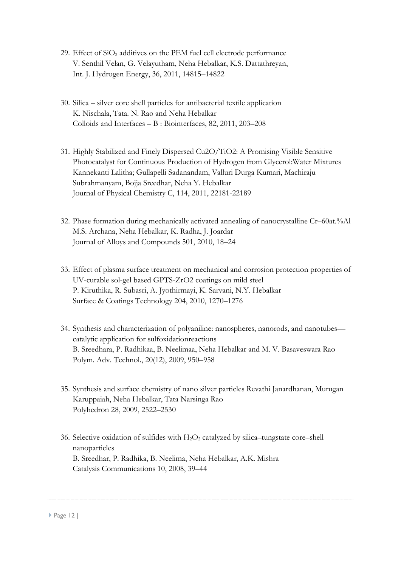- 29. Effect of  $SiO<sub>2</sub>$  additives on the PEM fuel cell electrode performance V. Senthil Velan, G. Velayutham, Neha Hebalkar, K.S. Dattathreyan, Int. J. Hydrogen Energy, 36, 2011, 14815–14822
- 30. Silica silver core shell particles for antibacterial textile application K. Nischala, Tata. N. Rao and Neha Hebalkar Colloids and Interfaces – B : Biointerfaces, 82, 2011, 203–208
- 31. [Highly Stabilized and Finely Dispersed Cu2O/TiO2: A Promising Visible Sensitive](http://www.journaltocs.hw.ac.uk/articleHomePage.php?id=3064165&userID=0)  [Photocatalyst for Continuous Production of Hydrogen from Glycerol:Water Mixtures](http://www.journaltocs.hw.ac.uk/articleHomePage.php?id=3064165&userID=0) Kannekanti Lalitha; Gullapelli Sadanandam, Valluri Durga Kumari, Machiraju Subrahmanyam, Bojja Sreedhar, Neha Y. Hebalkar Journal of Physical Chemistry C, 114, 2011, 22181-22189
- 32. Phase formation during mechanically activated annealing of nanocrystalline Cr–60at.%Al M.S. Archana, Neha Hebalkar, K. Radha, J. Joardar Journal of Alloys and Compounds 501, 2010, 18–24
- 33. Effect of plasma surface treatment on mechanical and corrosion protection properties of UV-curable sol-gel based GPTS-ZrO2 coatings on mild steel P. Kiruthika, R. Subasri, A. Jyothirmayi, K. Sarvani, N.Y. Hebalkar Surface & Coatings Technology 204, 2010, 1270–1276
- 34. Synthesis and characterization of polyaniline: nanospheres, nanorods, and nanotubes catalytic application for sulfoxidationreactions B. Sreedhara, P. Radhikaa, B. Neelimaa, Neha Hebalkar and M. V. Basaveswara Rao Polym. Adv. Technol., 20(12), 2009, 950–958
- 35. Synthesis and surface chemistry of nano silver particles Revathi Janardhanan, Murugan Karuppaiah, Neha Hebalkar, Tata Narsinga Rao Polyhedron 28, 2009, 2522–2530
- 36. Selective oxidation of sulfides with  $H_2O_2$  catalyzed by silica–tungstate core–shell nanoparticles B. Sreedhar, P. Radhika, B. Neelima, Neha Hebalkar, A.K. Mishra Catalysis Communications 10, 2008, 39–44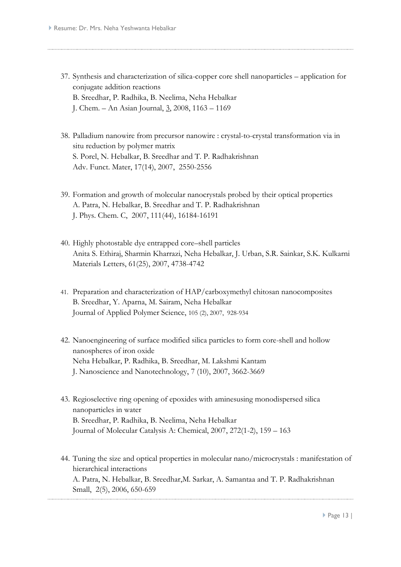- 37. Synthesis and characterization of silica-copper core shell nanoparticles application for conjugate addition reactions B. Sreedhar, P. Radhika, B. Neelima, Neha Hebalkar
	- J. Chem. An Asian Journal, [3,](http://www3.interscience.wiley.com/journal/120118326/issue) 2008, 1163 1169
- 38. Palladium nanowire from precursor nanowire : crystal-to-crystal transformation via in situ reduction by polymer matrix S. Porel, N. Hebalkar, B. Sreedhar and T. P. Radhakrishnan Adv. Funct. Mater, 17(14), 2007, 2550-2556
- 39. Formation and growth of molecular nanocrystals probed by their optical properties A. Patra, N. Hebalkar, B. Sreedhar and T. P. Radhakrishnan J. Phys. Chem. C, 2007, 111(44), 16184-16191
- 40. Highly photostable dye entrapped core–shell particles Anita S. Ethiraj, Sharmin Kharrazi, Neha Hebalkar, J. Urban, S.R. Sainkar, S.K. Kulkarni Materials Letters, 61(25), 2007, 4738-4742
- 41. Preparation and characterization of HAP/carboxymethyl chitosan nanocomposites B. Sreedhar, Y. Aparna, M. Sairam, Neha Hebalkar Journal of Applied Polymer Science, 105 (2), 2007, 928-934
- 42. Nanoengineering of surface modified silica particles to form core-shell and hollow nanospheres of iron oxide Neha Hebalkar, P. Radhika, B. Sreedhar, M. Lakshmi Kantam J. Nanoscience and Nanotechnology, 7 (10), 2007, 3662-3669
- 43. Regioselective ring opening of epoxides with aminesusing monodispersed silica nanoparticles in water B. Sreedhar, P. Radhika, B. Neelima, Neha Hebalkar Journal of Molecular Catalysis A: Chemical, 2007, 272(1-2), 159 – 163
- 44. Tuning the size and optical properties in molecular nano/microcrystals : manifestation of hierarchical interactions A. Patra, N. Hebalkar, B. Sreedhar,M. Sarkar, A. Samantaa and T. P. Radhakrishnan Small, 2(5), 2006, 650-659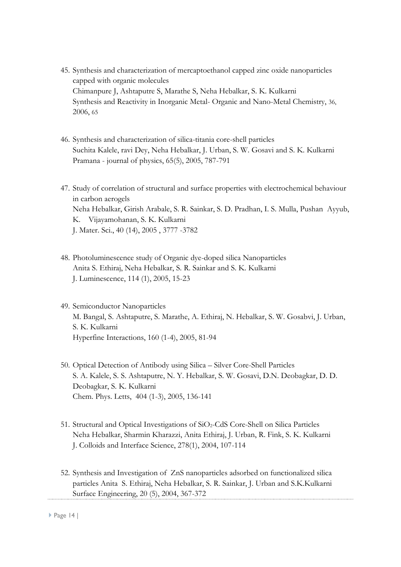- 45. [Synthesis and characterization of mercaptoethanol capped zinc oxide nanoparticles](javascript:submit_form())  [capped with organic molecules](javascript:submit_form()) Chimanpure J, Ashtaputre S, Marathe S, Neha Hebalkar, S. K. Kulkarni Synthesis and Reactivity in Inorganic Metal- Organic and Nano-Metal Chemistry, 36, 2006, 65
- 46. Synthesis and characterization of silica-titania core-shell particles Suchita Kalele, ravi Dey, Neha Hebalkar, J. Urban, S. W. Gosavi and S. K. Kulkarni Pramana - journal of physics, 65(5), 2005, 787-791
- 47. Study of correlation of structural and surface properties with electrochemical behaviour in carbon aerogels Neha Hebalkar, Girish Arabale, S. R. Sainkar, S. D. Pradhan, I. S. Mulla, Pushan Ayyub, K. Vijayamohanan, S. K. Kulkarni J. Mater. Sci., 40 (14), 2005 , 3777 -3782
- 48. Photoluminescence study of Organic dye-doped silica Nanoparticles Anita S. Ethiraj, Neha Hebalkar, S. R. Sainkar and S. K. Kulkarni J. Luminescence, 114 (1), 2005, 15-23
- 49. Semiconductor Nanoparticles M. Bangal, S. Ashtaputre, S. Marathe, A. Ethiraj, N. Hebalkar, S. W. Gosabvi, J. Urban, S. K. Kulkarni Hyperfine Interactions, 160 (1-4), 2005, 81-94
- 50. Optical Detection of Antibody using Silica Silver Core-Shell Particles S. A. Kalele, S. S. Ashtaputre, N. Y. Hebalkar, S. W. Gosavi, D.N. Deobagkar, D. D. Deobagkar, S. K. Kulkarni Chem. Phys. Letts, 404 (1-3), 2005, 136-141
- 51. Structural and Optical Investigations of SiO<sub>2</sub>-CdS Core-Shell on Silica Particles Neha Hebalkar, Sharmin Kharazzi, Anita Ethiraj, J. Urban, R. Fink, S. K. Kulkarni J. Colloids and Interface Science, 278(1), 2004, 107-114
- 52. Synthesis and Investigation of ZnS nanoparticles adsorbed on functionalized silica particles Anita S. Ethiraj, Neha Hebalkar, S. R. Sainkar, J. Urban and S.K.Kulkarni Surface Engineering, 20 (5), 2004, 367-372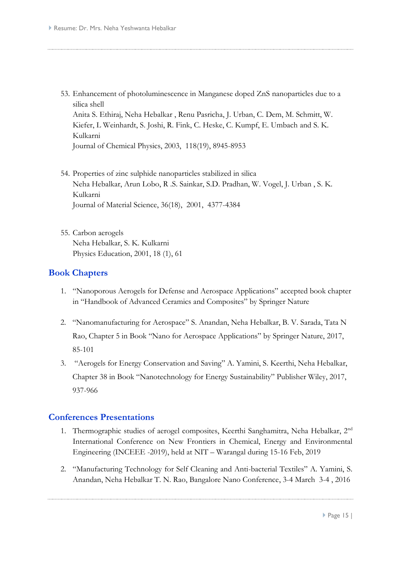53. Enhancement of photoluminescence in Manganese doped ZnS nanoparticles due to a silica shell Anita S. Ethiraj, Neha Hebalkar , Renu Pasricha, J. Urban, C. Dem, M. Schmitt, W.

Kiefer, L Weinhardt, S. Joshi, R. Fink, C. Heske, C. Kumpf, E. Umbach and S. K. Kulkarni

Journal of Chemical Physics, 2003, 118(19), 8945-8953

- 54. Properties of zinc sulphide nanoparticles stabilized in silica Neha Hebalkar, Arun Lobo, R .S. Sainkar, S.D. Pradhan, W. Vogel, J. Urban , S. K. Kulkarni Journal of Material Science, 36(18), 2001, 4377-4384
- 55. Carbon aerogels Neha Hebalkar, S. K. Kulkarni Physics Education, 2001, 18 (1), 61

#### **Book Chapters**

- 1. "Nanoporous Aerogels for Defense and Aerospace Applications" accepted book chapter in "Handbook of Advanced Ceramics and Composites" by Springer Nature
- 2. "Nanomanufacturing for Aerospace" S. Anandan, Neha Hebalkar, B. V. Sarada, Tata N Rao, Chapter 5 in Book "Nano for Aerospace Applications" by Springer Nature, 2017, 85-101
- 3. "Aerogels for Energy Conservation and Saving" A. Yamini, S. Keerthi, Neha Hebalkar, Chapter 38 in Book "Nanotechnology for Energy Sustainability" Publisher Wiley, 2017, 937-966

#### **Conferences Presentations**

- 1. Thermographic studies of aerogel composites, Keerthi Sanghamitra, Neha Hebalkar, 2nd International Conference on New Frontiers in Chemical, Energy and Environmental Engineering (INCEEE -2019), held at NIT – Warangal during 15-16 Feb, 2019
- 2. "Manufacturing Technology for Self Cleaning and Anti-bacterial Textiles" A. Yamini, S. Anandan, Neha Hebalkar T. N. Rao, Bangalore Nano Conference, 3-4 March 3-4 , 2016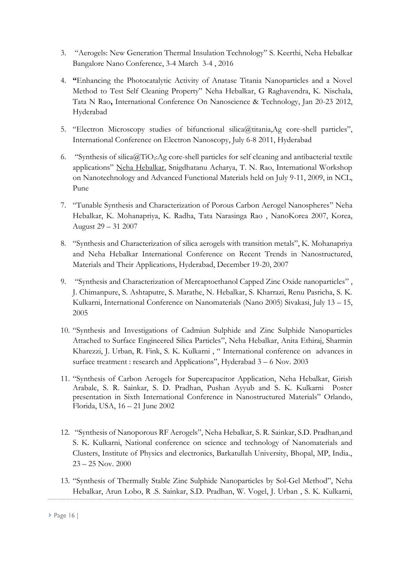- 3. "Aerogels: New Generation Thermal Insulation Technology" S. Keerthi, Neha Hebalkar Bangalore Nano Conference, 3-4 March 3-4 , 2016
- 4. **"**Enhancing the Photocatalytic Activity of Anatase Titania Nanoparticles and a Novel Method to Test Self Cleaning Property" Neha Hebalkar, G Raghavendra, K. Nischala, Tata N Rao**,** International Conference On Nanoscience & Technology, Jan 20-23 2012, Hyderabad
- 5. "Electron Microscopy studies of bifunctional silica@titania,Ag core-shell particles", International Conference on Electron Nanoscopy, July 6-8 2011, Hyderabad
- 6. "Synthesis of silica@TiO2:Ag core-shell particles for self cleaning and antibacterial textile applications" Neha Hebalkar, Snigdhatanu Acharya, T. N. Rao, International Workshop on Nanotechnology and Advanced Functional Materials held on July 9-11, 2009, in NCL, Pune
- 7. "Tunable Synthesis and Characterization of Porous Carbon Aerogel Nanospheres" Neha Hebalkar, K. Mohanapriya, K. Radha, Tata Narasinga Rao , NanoKorea 2007, Korea, August 29 – 31 2007
- 8. "Synthesis and Characterization of silica aerogels with transition metals", K. Mohanapriya and Neha Hebalkar International Conference on Recent Trends in Nanostructured, Materials and Their Applications, Hyderabad, December 19-20, 2007
- 9. "Synthesis and Characterization of Mercaptoethanol Capped Zinc Oxide nanoparticles" , J. Chimanpure, S. Ashtaputre, S. Marathe, N. Hebalkar, S. Kharrazi, Renu Pasricha, S. K. Kulkarni, International Conference on Nanomaterials (Nano 2005) Sivakasi, July 13 – 15, 2005
- 10. "Synthesis and Investigations of Cadmiun Sulphide and Zinc Sulphide Nanoparticles Attached to Surface Engineered Silica Particles", Neha Hebalkar, Anita Ethiraj, Sharmin Kharezzi, J. Urban, R. Fink, S. K. Kulkarni , " International conference on advances in surface treatment : research and Applications", Hyderabad 3 – 6 Nov. 2003
- 11. "Synthesis of Carbon Aerogels for Supercapacitor Application, Neha Hebalkar, Girish Arabale, S. R. Sainkar, S. D. Pradhan, Pushan Ayyub and S. K. Kulkarni Poster presentation in Sixth International Conference in Nanostructured Materials" Orlando, Florida, USA, 16 – 21 June 2002
- 12. "Synthesis of Nanoporous RF Aerogels", Neha Hebalkar, S. R. Sainkar, S.D. Pradhan,and S. K. Kulkarni, National conference on science and technology of Nanomaterials and Clusters, Institute of Physics and electronics, Barkatullah University, Bhopal, MP, India., 23 – 25 Nov. 2000
- 13. "Synthesis of Thermally Stable Zinc Sulphide Nanoparticles by Sol-Gel Method", Neha Hebalkar, Arun Lobo, R .S. Sainkar, S.D. Pradhan, W. Vogel, J. Urban , S. K. Kulkarni,

Page 16 |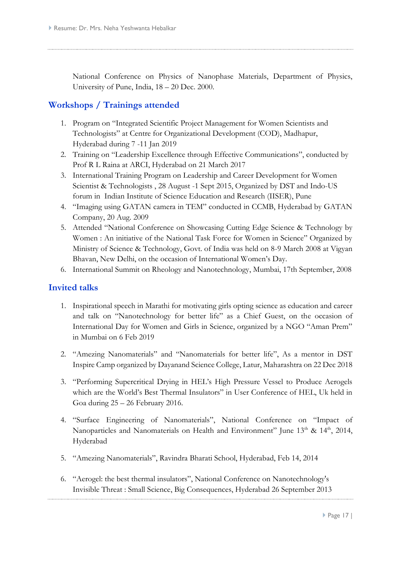National Conference on Physics of Nanophase Materials, Department of Physics, University of Pune, India, 18 – 20 Dec. 2000.

## **Workshops / Trainings attended**

- 1. Program on "Integrated Scientific Project Management for Women Scientists and Technologists" at Centre for Organizational Development (COD), Madhapur, Hyderabad during 7 -11 Jan 2019
- 2. Training on "Leadership Excellence through Effective Communications", conducted by Prof R L Raina at ARCI, Hyderabad on 21 March 2017
- 3. International Training Program on Leadership and Career Development for Women Scientist & Technologists , 28 August -1 Sept 2015, Organized by DST and Indo-US forum in Indian Institute of Science Education and Research (IISER), Pune
- 4. "Imaging using GATAN camera in TEM" conducted in CCMB, Hyderabad by GATAN Company, 20 Aug. 2009
- 5. Attended "National Conference on Showcasing Cutting Edge Science & Technology by Women : An initiative of the National Task Force for Women in Science" Organized by Ministry of Science & Technology, Govt. of India was held on 8-9 March 2008 at Vigyan Bhavan, New Delhi, on the occasion of International Women's Day.
- 6. International Summit on Rheology and Nanotechnology, Mumbai, 17th September, 2008

#### **Invited talks**

- 1. Inspirational speech in Marathi for motivating girls opting science as education and career and talk on "Nanotechnology for better life" as a Chief Guest, on the occasion of International Day for Women and Girls in Science, organized by a NGO "Aman Prem" in Mumbai on 6 Feb 2019
- 2. "Amezing Nanomaterials" and "Nanomaterials for better life", As a mentor in DST Inspire Camp organized by Dayanand Science College, Latur, Maharashtra on 22 Dec 2018
- 3. "Performing Supercritical Drying in HEL's High Pressure Vessel to Produce Aerogels which are the World's Best Thermal Insulators" in User Conference of HEL, Uk held in Goa during 25 – 26 February 2016.
- 4. "Surface Engineering of Nanomaterials", National Conference on "Impact of Nanoparticles and Nanomaterials on Health and Environment" June 13<sup>th</sup> & 14<sup>th</sup>, 2014, Hyderabad
- 5. "Amezing Nanomaterials", Ravindra Bharati School, Hyderabad, Feb 14, 2014
- 6. "Aerogel: the best thermal insulators", National Conference on Nanotechnology's Invisible Threat : Small Science, Big Consequences, Hyderabad 26 September 2013